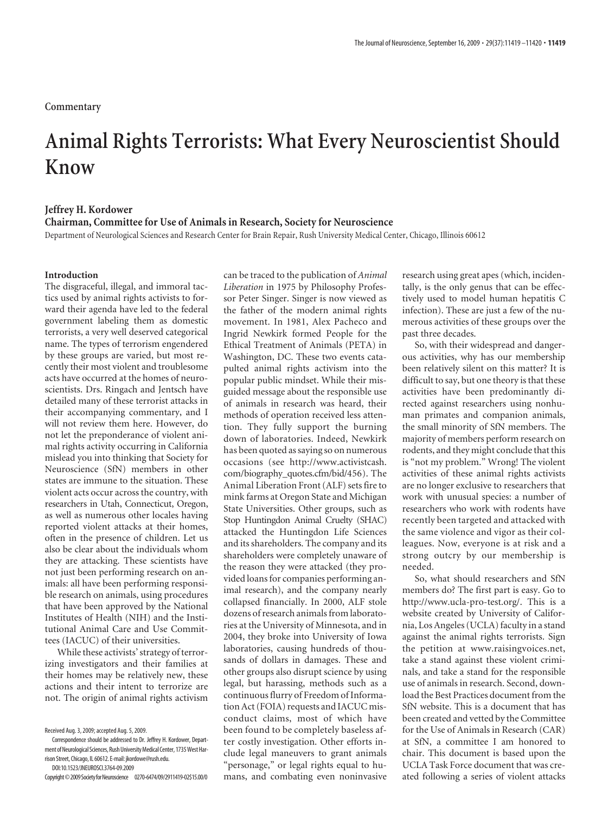# **Animal Rights Terrorists: What Every Neuroscientist Should Know**

#### **Jeffrey H. Kordower**

**Chairman, Committee for Use of Animals in Research, Society for Neuroscience**

Department of Neurological Sciences and Research Center for Brain Repair, Rush University Medical Center, Chicago, Illinois 60612

## **Introduction**

The disgraceful, illegal, and immoral tactics used by animal rights activists to forward their agenda have led to the federal government labeling them as domestic terrorists, a very well deserved categorical name. The types of terrorism engendered by these groups are varied, but most recently their most violent and troublesome acts have occurred at the homes of neuroscientists. Drs. Ringach and Jentsch have detailed many of these terrorist attacks in their accompanying commentary, and I will not review them here. However, do not let the preponderance of violent animal rights activity occurring in California mislead you into thinking that Society for Neuroscience (SfN) members in other states are immune to the situation. These violent acts occur across the country, with researchers in Utah, Connecticut, Oregon, as well as numerous other locales having reported violent attacks at their homes, often in the presence of children. Let us also be clear about the individuals whom they are attacking. These scientists have not just been performing research on animals: all have been performing responsible research on animals, using procedures that have been approved by the National Institutes of Health (NIH) and the Institutional Animal Care and Use Committees (IACUC) of their universities.

While these activists' strategy of terrorizing investigators and their families at their homes may be relatively new, these actions and their intent to terrorize are not. The origin of animal rights activism

Received Aug. 3, 2009; accepted Aug. 5, 2009.

can be traced to the publication of *Animal Liberation* in 1975 by Philosophy Professor Peter Singer. Singer is now viewed as the father of the modern animal rights movement. In 1981, Alex Pacheco and Ingrid Newkirk formed People for the Ethical Treatment of Animals (PETA) in Washington, DC. These two events catapulted animal rights activism into the popular public mindset. While their misguided message about the responsible use of animals in research was heard, their methods of operation received less attention. They fully support the burning down of laboratories. Indeed, Newkirk has been quoted as saying so on numerous occasions (see http://www.activistcash. com/biography\_quotes.cfm/bid/456). The Animal Liberation Front (ALF) sets fire to mink farms at Oregon State and Michigan State Universities. Other groups, such as Stop Huntingdon Animal Cruelty (SHAC) attacked the Huntingdon Life Sciences and its shareholders. The company and its shareholders were completely unaware of the reason they were attacked (they provided loans for companies performing animal research), and the company nearly collapsed financially. In 2000, ALF stole dozens of research animals from laboratories at the University of Minnesota, and in 2004, they broke into University of Iowa laboratories, causing hundreds of thousands of dollars in damages. These and other groups also disrupt science by using legal, but harassing, methods such as a continuous flurry of Freedom of Information Act (FOIA) requests and IACUC misconduct claims, most of which have been found to be completely baseless after costly investigation. Other efforts include legal maneuvers to grant animals "personage," or legal rights equal to humans, and combating even noninvasive

research using great apes (which, incidentally, is the only genus that can be effectively used to model human hepatitis C infection). These are just a few of the numerous activities of these groups over the past three decades.

So, with their widespread and dangerous activities, why has our membership been relatively silent on this matter? It is difficult to say, but one theory is that these activities have been predominantly directed against researchers using nonhuman primates and companion animals, the small minority of SfN members. The majority of members perform research on rodents, and they might conclude that this is "not my problem." Wrong! The violent activities of these animal rights activists are no longer exclusive to researchers that work with unusual species: a number of researchers who work with rodents have recently been targeted and attacked with the same violence and vigor as their colleagues. Now, everyone is at risk and a strong outcry by our membership is needed.

So, what should researchers and SfN members do? The first part is easy. Go to http://www.ucla-pro-test.org/. This is a website created by University of California, Los Angeles (UCLA) faculty in a stand against the animal rights terrorists. Sign the petition at www.raisingvoices.net, take a stand against these violent criminals, and take a stand for the responsible use of animals in research. Second, download the Best Practices document from the SfN website. This is a document that has been created and vetted by the Committee for the Use of Animals in Research (CAR) at SfN, a committee I am honored to chair. This document is based upon the UCLA Task Force document that was created following a series of violent attacks

Correspondence should be addressed to Dr. Jeffrey H. Kordower, Department of Neurological Sciences, Rush University Medical Center, 1735 West Harrison Street, Chicago, IL 60612. E-mail: jkordowe@rush.edu. DOI:10.1523/JNEUROSCI.3764-09.2009

Copyright©2009SocietyforNeuroscience 0270-6474/09/2911419-02\$15.00/0